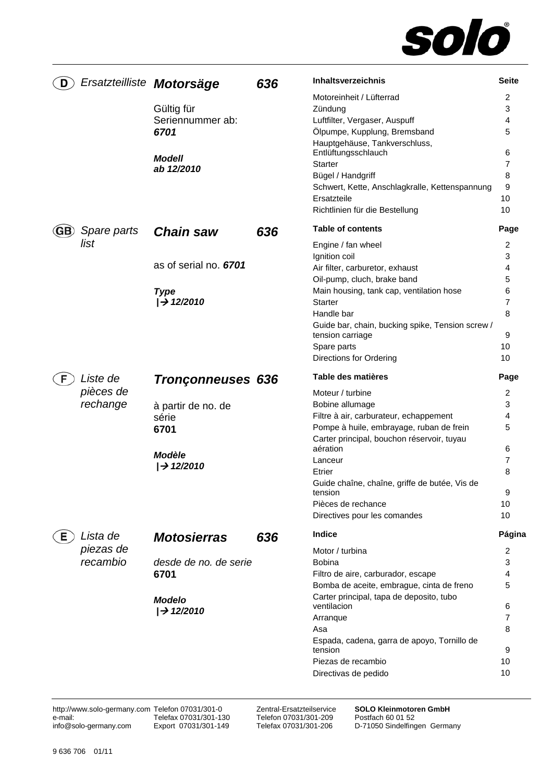

| D   |             | Ersatzteilliste Motorsäge | 636 | Inhaltsverzeichnis                                                   | <b>Seite</b> |
|-----|-------------|---------------------------|-----|----------------------------------------------------------------------|--------------|
|     |             |                           |     | Motoreinheit / Lüfterrad                                             | 2            |
|     |             | Gültig für                |     | Zündung                                                              | 3            |
|     |             | Seriennummer ab:          |     | Luftfilter, Vergaser, Auspuff                                        | 4            |
|     |             | 6701                      |     | Ölpumpe, Kupplung, Bremsband                                         | 5            |
|     |             |                           |     | Hauptgehäuse, Tankverschluss,                                        |              |
|     |             | <b>Modell</b>             |     | Entlüftungsschlauch                                                  | 6            |
|     |             | ab 12/2010                |     | Starter                                                              | 7            |
|     |             |                           |     | Bügel / Handgriff                                                    | 8            |
|     |             |                           |     | Schwert, Kette, Anschlagkralle, Kettenspannung                       | 9            |
|     |             |                           |     | Ersatzteile                                                          | 10           |
|     |             |                           |     | Richtlinien für die Bestellung                                       | 10           |
| GB) | Spare parts | <b>Chain saw</b>          | 636 | <b>Table of contents</b>                                             | Page         |
|     | list        |                           |     | Engine / fan wheel                                                   | 2            |
|     |             |                           |     | Ignition coil                                                        | 3            |
|     |             | as of serial no. 6701     |     | Air filter, carburetor, exhaust                                      | 4            |
|     |             |                           |     | Oil-pump, cluch, brake band                                          | 5            |
|     |             | <b>Type</b>               |     | Main housing, tank cap, ventilation hose                             | 6            |
|     |             | /→ 12/2010                |     | Starter                                                              | 7            |
|     |             |                           |     | Handle bar                                                           | 8            |
|     |             |                           |     | Guide bar, chain, bucking spike, Tension screw /<br>tension carriage | 9            |
|     |             |                           |     | Spare parts                                                          | 10           |
|     |             |                           |     | Directions for Ordering                                              | 10           |
| F.  | Liste de    | <b>Tronçonneuses 636</b>  |     | Table des matières                                                   | Page         |
|     | pièces de   |                           |     | Moteur / turbine                                                     | 2            |
|     | rechange    | à partir de no. de        |     | Bobine allumage                                                      | 3            |
|     |             | série                     |     | Filtre à air, carburateur, echappement                               | 4            |
|     |             | 6701                      |     | Pompe à huile, embrayage, ruban de frein                             | 5            |
|     |             |                           |     | Carter principal, bouchon réservoir, tuyau                           |              |
|     |             | <b>Modèle</b>             |     | aération                                                             | 6            |
|     |             | $\rightarrow$ 12/2010     |     | Lanceur                                                              | 7            |
|     |             |                           |     | Etrier                                                               | 8            |
|     |             |                           |     | Guide chaîne, chaîne, griffe de butée, Vis de<br>tension             | 9            |
|     |             |                           |     | Pièces de rechance                                                   | 10           |
|     |             |                           |     | Directives pour les comandes                                         | 10           |
| E.  | Lista de    | <b>Motosierras</b>        | 636 | Indice                                                               | Página       |
|     | piezas de   |                           |     | Motor / turbina                                                      | 2            |
|     | recambio    | desde de no. de serie     |     | <b>Bobina</b>                                                        | 3            |
|     |             | 6701                      |     | Filtro de aire, carburador, escape                                   | 4            |
|     |             |                           |     | Bomba de aceite, embrague, cinta de freno                            | 5            |
|     |             | <b>Modelo</b>             |     | Carter principal, tapa de deposito, tubo                             |              |
|     |             | $\rightarrow$ 12/2010     |     | ventilacion                                                          | 6            |
|     |             |                           |     | Arrangue                                                             | 7            |
|     |             |                           |     | Asa                                                                  | 8            |
|     |             |                           |     | Espada, cadena, garra de apoyo, Tornillo de                          |              |
|     |             |                           |     | tension                                                              | 9            |
|     |             |                           |     | Piezas de recambio                                                   | 10           |
|     |             |                           |     | Directivas de pedido                                                 | 10           |

http://www.solo-germany.com Telefon 07031/301-0 e-mail: info@solo-germany.com Telefax 07031/301-130 Export 07031/301-149

Zentral-Ersatzteilservice Telefon 07031/301-209 Telefax 07031/301-206

**SOLO Kleinmotoren GmbH**  Postfach 60 01 52 D-71050 Sindelfingen Germany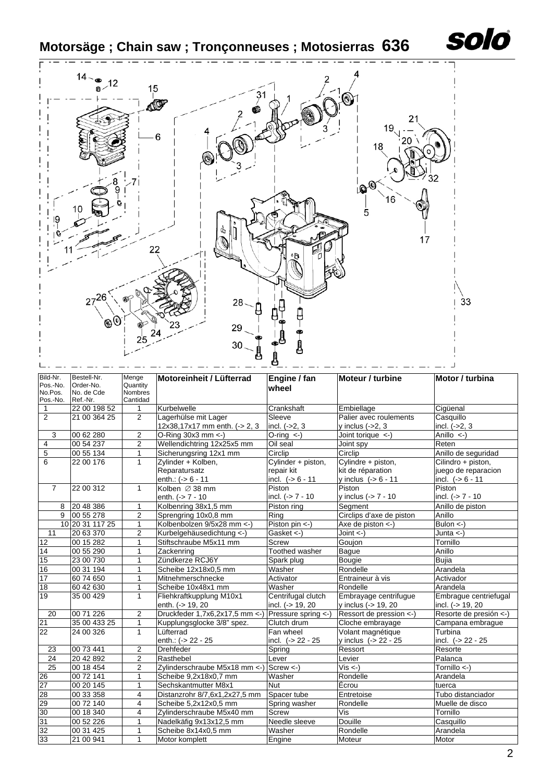**Motorsäge ; Chain saw ; Tronçonneuses ; Motosierras 636**



| Bild-Nr.<br>Pos.-No.<br>No.Pos. | Bestell-Nr.<br>Order-No.<br>No. de Cde | Menge<br>Quantity<br><b>Nombres</b> | Motoreinheit / Lüfterrad       | Engine / fan<br>wheel | Moteur / turbine          | Motor / turbina        |
|---------------------------------|----------------------------------------|-------------------------------------|--------------------------------|-----------------------|---------------------------|------------------------|
| Pos.-No.                        | Ref.-Nr.                               | Cantidad                            |                                |                       |                           |                        |
| $\mathbf{1}$                    | 22 00 198 52                           | $\mathbf{1}$                        | Kurbelwelle                    | Crankshaft            | Embiellage                | Ciqüenal               |
| 2                               | 21 00 364 25                           | $\overline{2}$                      | Lagerhülse mit Lager           | Sleeve                | Palier avec roulements    | Casquillo              |
|                                 |                                        |                                     | 12x38,17x17 mm enth. (-> 2, 3  | incl. $(-2, 3)$       | y inclus $(-2, 3)$        | incl. $(-2, 3)$        |
| 3                               | 00 62 280                              | $\overline{2}$                      | O-Ring $30x3$ mm <-)           | O-ring $\leftarrow$ ) | Joint torique <-          | Anillo $\leftarrow$    |
| $\overline{4}$                  | 00 54 237                              | $\overline{2}$                      | Wellendichtring 12x25x5 mm     | Oil seal              | Joint spy                 | Reten                  |
| $\overline{5}$                  | 00 55 134                              | $\mathbf{1}$                        | Sicherungsring 12x1 mm         | Circlip               | Circlip                   | Anillo de seguridad    |
| 6                               | 22 00 176                              | $\mathbf{1}$                        | Zylinder + Kolben,             | Cylinder + piston,    | Cylindre + piston,        | Cilindro + piston,     |
|                                 |                                        |                                     | Reparatursatz                  | repair kit            | kit de réparation         | juego de reparacion    |
|                                 |                                        |                                     | enth.: $(-56 - 11)$            | incl. $(-56 - 11)$    | y inclus $(-56 - 11)$     | incl. $(-56 - 11)$     |
| $\overline{7}$                  | 22 00 312                              | $\mathbf{1}$                        | Kolben Ø 38 mm                 | Piston                | Piston                    | Piston                 |
|                                 |                                        |                                     | enth. $(-57 - 10)$             | incl. $(-57 - 10)$    | y inclus $(-> 7 - 10$     | incl. $(-57 - 10)$     |
| 8                               | 20 48 386                              | $\mathbf{1}$                        | Kolbenring 38x1,5 mm           | Piston ring           | Segment                   | Anillo de piston       |
| 9                               | 00 55 278                              | 2                                   | Sprengring 10x0,8 mm           | Ring                  | Circlips d'axe de piston  | Anillo                 |
|                                 | 10 20 31 117 25                        | $\mathbf{1}$                        | Kolbenbolzen 9/5x28 mm <- )    | Piston pin <-)        | Axe de piston $\lt$ -)    | Bulon $\lt$ -)         |
| 11                              | 20 63 370                              | $\overline{2}$                      | Kurbelgehäusedichtung <- )     | Gasket $\lt$ -)       | Joint $\leftarrow$ )      | Junta $\leftarrow$ )   |
| 12                              | 00 15 282                              | $\mathbf{1}$                        | Stiftschraube M5x11 mm         | <b>Screw</b>          | Goujon                    | Tornillo               |
| 14                              | 00 55 290                              | 1                                   | Zackenring                     | Toothed washer        | <b>Baque</b>              | Anillo                 |
| 15                              | 23 00 730                              | 1                                   | Zündkerze RCJ6Y                | Spark plug            | <b>Bougie</b>             | <b>Bujia</b>           |
| 16                              | 00 31 194                              | $\mathbf{1}$                        | Scheibe 12x18x0,5 mm           | Washer                | Rondelle                  | Arandela               |
| 17                              | 60 74 650                              | $\mathbf{1}$                        | Mitnehmerschnecke              | Activator             | Entraineur à vis          | Activador              |
| 18                              | 60 42 630                              | $\mathbf{1}$                        | Scheibe 10x48x1 mm             | Washer                | Rondelle                  | Arandela               |
| 19                              | 35 00 429                              | $\mathbf{1}$                        | Fliehkraftkupplung M10x1       | Centrifugal clutch    | Embrayage centrifugue     | Embrague centriefugal  |
|                                 |                                        |                                     | enth. (-> 19, 20               | incl. (-> 19, 20      | y inclus (-> 19, 20       | incl. (-> 19, 20       |
| 20                              | 00 71 226                              | $\overline{2}$                      | Druckfeder 1,7x6,2x17,5 mm <-  | Pressure spring <-)   | Ressort de pression <-)   | Resorte de presión <-) |
| 21                              | 35 00 433 25                           | $\mathbf{1}$                        | Kupplungsglocke 3/8" spez.     | Clutch drum           | Cloche embrayage          | Campana embrague       |
| 22                              | 24 00 326                              | $\mathbf{1}$                        | Lüfterrad                      | Fan wheel             | Volant magnétique         | Turbina                |
|                                 |                                        |                                     | enth.: (-> 22 - 25             | incl. $(-22 - 25)$    | v inclus (-> 22 - 25      | incl. $(-22 - 25)$     |
| 23                              | 00 73 441                              | 2                                   | <b>Drehfeder</b>               | Spring                | Ressort                   | Resorte                |
| 24                              | 20 42 892                              | $\overline{2}$                      | Rasthebel                      | Lever                 | Levier                    | Palanca                |
| $\overline{25}$                 | 00 18 454                              | $\overline{2}$                      | Zylinderschraube M5x18 mm <- ) | $Screw < -$           | $\overline{Vis}$ <-)      | Tornillo <-)           |
| 26                              | 00 72 141                              | $\mathbf{1}$                        | Scheibe 9,2x18x0,7 mm          | Washer                | Rondelle                  | Arandela               |
| 27                              | 00 20 145                              | $\mathbf{1}$                        | Sechskantmutter M8x1           | <b>Nut</b>            | Écrou                     | tuerca                 |
| 28                              | 00 33 358                              | 4                                   | Distanzrohr 8/7,6x1,2x27,5 mm  | Spacer tube           | Entretoise                | Tubo distanciador      |
| 29                              | 00 72 140                              | 4                                   | Scheibe 5,2x12x0,5 mm          | Spring washer         | Rondelle                  | Muelle de disco        |
| 30                              | 00 18 340                              | 4                                   | Zylinderschraube M5x40 mm      | <b>Screw</b>          | $\overline{\mathsf{Vis}}$ | Tornillo               |
| 31                              | 00 52 226                              | 1                                   | Nadelkäfig 9x13x12,5 mm        | Needle sleeve         | Douille                   | Casquillo              |
| 32                              | 00 31 425                              | $\mathbf{1}$                        | Scheibe 8x14x0,5 mm            | Washer                | Rondelle                  | Arandela               |
| 33                              | 21 00 941                              | 1                                   | Motor komplett                 | Engine                | Moteur                    | Motor                  |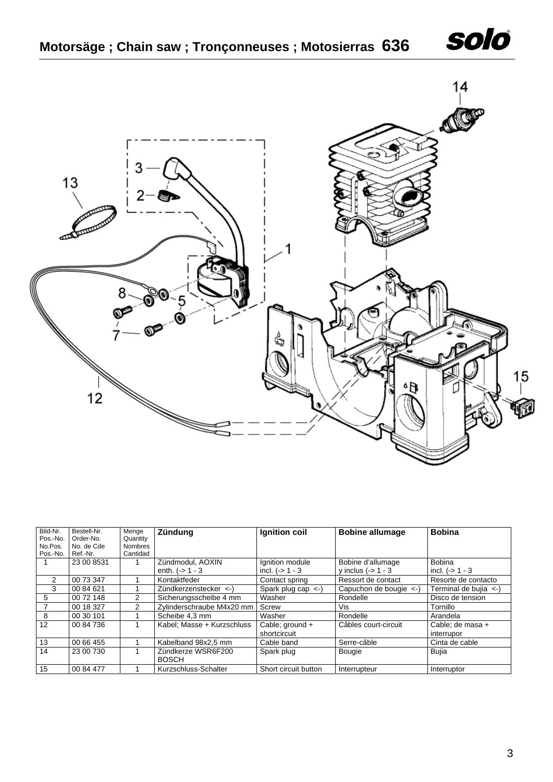



| Bild-Nr. | Bestell-Nr. | Menge          | Zündung                    | Ignition coil           | <b>Bobine allumage</b>       | <b>Bobina</b>              |
|----------|-------------|----------------|----------------------------|-------------------------|------------------------------|----------------------------|
| Pos.-No. | Order-No.   | Quantity       |                            |                         |                              |                            |
| No.Pos.  | No. de Cde  | <b>Nombres</b> |                            |                         |                              |                            |
| Pos.-No. | Ref.-Nr.    | Cantidad       |                            |                         |                              |                            |
|          | 23 00 8531  |                | Zündmodul, AOXIN           | Ignition module         | Bobine d'allumage            | <b>Bobina</b>              |
|          |             |                | enth. $(-) 1 - 3$          | incl. $( -2 1 - 3$      | y inclus $(-5)$ 1 - 3        | incl. $(-) 1 - 3$          |
| 2        | 00 73 347   |                | Kontaktfeder               | Contact spring          | Ressort de contact           | Resorte de contacto        |
| 3        | 00 84 621   |                | Zündkerzenstecker <-)      | Spark plug cap $\lt$ -) | Capuchon de bougie $\leq$ -) | Terminal de bujia $\leq$ ) |
| 5        | 00 72 148   | $\mathcal{P}$  | Sicherungsscheibe 4 mm     | Washer                  | Rondelle                     | Disco de tension           |
|          | 00 18 327   | 2              | Zylinderschraube M4x20 mm  | Screw                   | Vis                          | Tornillo                   |
| 8        | 00 30 101   |                | Scheibe 4,3 mm             | Washer                  | Rondelle                     | Arandela                   |
| 12       | 00 84 736   |                | Kabel: Masse + Kurzschluss | Cable; ground +         | Câbles court-circuit         | Cable: de masa +           |
|          |             |                |                            | shortcircuit            |                              | interrupor                 |
| 13       | 00 66 455   |                | Kabelband 98x2,5 mm        | Cable band              | Serre-câble                  | Cinta de cable             |
| 14       | 23 00 730   |                | Zündkerze WSR6F200         | Spark plug              | <b>Bougie</b>                | Bujia                      |
|          |             |                | <b>BOSCH</b>               |                         |                              |                            |
| 15       | 00 84 477   |                | Kurzschluss-Schalter       | Short circuit button    | Interrupteur                 | Interruptor                |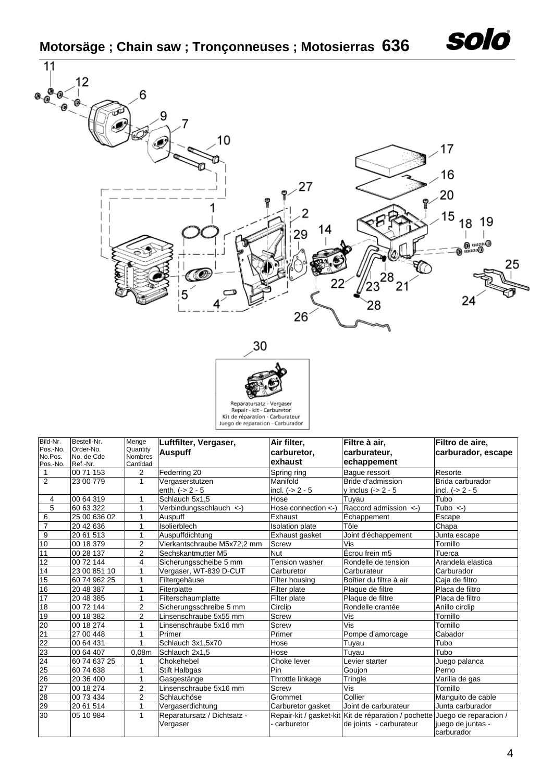



| Bild-Nr.                               | Bestell-Nr.  | Menge             | Luftfilter, Vergaser,       | Air filter,              | Filtre à air,                                                              | Filtro de aire,                 |
|----------------------------------------|--------------|-------------------|-----------------------------|--------------------------|----------------------------------------------------------------------------|---------------------------------|
| Pos.-No.                               | Order-No.    | Quantity          | <b>Auspuff</b>              | carburetor,              | carburateur.                                                               | carburador, escape              |
| No.Pos.                                | No. de Cde   | <b>Nombres</b>    |                             | lexhaust                 | echappement                                                                |                                 |
| Pos.-No.                               | Ref.-Nr.     | Cantidad          |                             |                          |                                                                            |                                 |
| 1                                      | 00 71 153    | $\overline{2}$    | Federring 20                | Spring ring              | Baque ressort                                                              | Resorte                         |
| $\overline{2}$                         | 23 00 779    | $\mathbf{1}$      | Vergaserstutzen             | Manifold                 | Bride d'admission                                                          | Brida carburador                |
|                                        |              |                   | enth. $(-2 - 5)$            | incl. $(-2 - 5)$         | y inclus $(-2 - 5$                                                         | $ $ incl. $($ -> 2 - 5          |
| 4                                      | 00 64 319    | 1                 | Schlauch 5x1,5              | Hose                     | Tuyau                                                                      | Tubo                            |
| $\overline{5}$                         | 60 63 322    | 1                 | Verbindungsschlauch <- )    | Hose connection $\lt$ -) | Raccord admission <- )                                                     | Tubo $\leftarrow$ )             |
| 6                                      | 25 00 636 02 | 1                 | Auspuff                     | Exhaust                  | Échappement                                                                | Escape                          |
| $\overline{7}$                         | 20 42 636    | 1                 | Isolierblech                | <b>Isolation plate</b>   | Tôle                                                                       | Chapa                           |
| $\boldsymbol{9}$                       | 20 61 513    | 1                 | Auspuffdichtung             | Exhaust gasket           | Joint d'échappement                                                        | Junta escape                    |
| 10                                     | 00 18 379    | $\overline{2}$    | Vierkantschraube M5x72,2 mm | <b>Screw</b>             | Vis                                                                        | Tornillo                        |
| 11                                     | 00 28 137    | 2                 | Sechskantmutter M5          | <b>Nut</b>               | Écrou frein m5                                                             | Tuerca                          |
| 12                                     | 00 72 144    | 4                 | Sicherungsscheibe 5 mm      | Tension washer           | Rondelle de tension                                                        | Arandela elastica               |
| 14                                     | 23 00 851 10 | 1                 | Vergaser, WT-839 D-CUT      | Carburetor               | Carburateur                                                                | Carburador                      |
| 15                                     | 60 74 962 25 | 1                 | Filtergehäuse               | Filter housing           | Boîtier du filtre à air                                                    | Caja de filtro                  |
| 16                                     | 20 48 387    | 1                 | Fiterplatte                 | Filter plate             | Plaque de filtre                                                           | Placa de filtro                 |
| 17                                     | 20 48 385    | 1                 | Filterschaumplatte          | Filter plate             | Plaque de filtre                                                           | Placa de filtro                 |
| 18                                     | 00 72 144    | 2                 | Sicherungsschreibe 5 mm     | Circlip                  | Rondelle crantée                                                           | Anillo circlip                  |
| 19                                     | 00 18 382    | $\overline{2}$    | Linsenschraube 5x55 mm      | <b>Screw</b>             | Vis                                                                        | Tornillo                        |
| 20                                     | 00 18 274    | 1                 | Linsenschraube 5x16 mm      | Screw                    | Vis                                                                        | Tornillo                        |
| 21                                     | 27 00 448    | 1                 | Primer                      | Primer                   | Pompe d'amorcage                                                           | Cabador                         |
| 22                                     | 00 64 431    | 1                 | Schlauch 3x1,5x70           | Hose                     | Tuyau                                                                      | Tubo                            |
|                                        | 00 64 407    | 0.08 <sub>m</sub> | Schlauch 2x1,5              | Hose                     | Tuyau                                                                      | Tubo                            |
|                                        | 60 74 637 25 | 1                 | Chokehebel                  | Choke lever              | Levier starter                                                             | Juego palanca                   |
|                                        | 60 74 638    | 1                 | <b>Stift Halbgas</b>        | Pin                      | Goujon                                                                     | Perno                           |
|                                        | 20 36 400    | 1                 | Gasgestänge                 | Throttle linkage         | Tringle                                                                    | Varilla de gas                  |
|                                        | 00 18 274    | $\overline{2}$    | Linsenschraube 5x16 mm      | Screw                    | Vis                                                                        | Tornillo                        |
| 23<br>24<br>25<br>26<br>27<br>28<br>29 | 00 73 434    | 2                 | Schlauchöse                 | Grommet                  | Collier                                                                    | Manguito de cable               |
|                                        | 20 61 514    | 1                 | Vergaserdichtung            | Carburetor gasket        | Joint de carburateur                                                       | Junta carburador                |
| 30                                     | 05 10 984    | 1                 | Reparatursatz / Dichtsatz - |                          | Repair-kit / gasket-kit Kit de réparation / pochette Juego de reparacion / |                                 |
|                                        |              |                   | Vergaser                    | carburetor               | de joints - carburateur                                                    | juego de juntas -<br>carburador |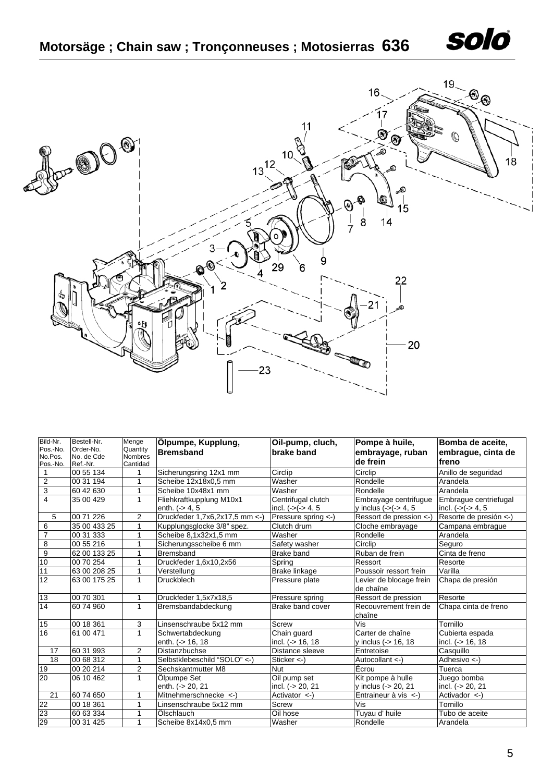



| Bild-Nr.<br>Pos.-No.<br>No.Pos.<br>Pos.-No. | Bestell-Nr.<br>Order-No.<br>No. de Cde<br>Ref.-Nr. | Menge<br>Quantity<br><b>Nombres</b><br>Cantidad | Ölpumpe, Kupplung,<br><b>Bremsband</b> | Oil-pump, cluch,<br>brake band    | Pompe à huile,<br>embrayage, ruban<br>de frein | Bomba de aceite,<br>embraque, cinta de<br>freno |
|---------------------------------------------|----------------------------------------------------|-------------------------------------------------|----------------------------------------|-----------------------------------|------------------------------------------------|-------------------------------------------------|
|                                             | 00 55 134                                          | 1                                               | Sicherungsring 12x1 mm                 | Circlip                           | Circlip                                        | Anillo de seguridad                             |
| $\overline{2}$                              | 00 31 194                                          | 1                                               | Scheibe 12x18x0,5 mm                   | Washer                            | Rondelle                                       | Arandela                                        |
| $\overline{3}$                              | 60 42 630                                          | $\mathbf{1}$                                    | Scheibe 10x48x1 mm                     | Washer                            | Rondelle                                       | Arandela                                        |
| $\overline{4}$                              | 35 00 429                                          | $\mathbf{1}$                                    | Fliehkraftkupplung M10x1               | Centrifugal clutch                | Embrayage centrifugue                          | Embrague centriefugal                           |
|                                             |                                                    |                                                 | enth. (-> 4, 5                         | incl. $(-)(-5)$ 4, 5              | y inclus $(-)(-5)$ 4, 5                        | incl. $(-)(-5)$ 4, 5                            |
| 5                                           | 00 71 226                                          | $\overline{2}$                                  | Druckfeder 1,7x6,2x17,5 mm <- )        | Pressure spring <-)               | Ressort de pression <-                         | Resorte de presión <-)                          |
| 6                                           | 35 00 433 25                                       | $\mathbf{1}$                                    | Kupplungsglocke 3/8" spez.             | Clutch drum                       | Cloche embrayage                               | Campana embrague                                |
| $\overline{7}$                              | 00 31 333                                          | $\mathbf{1}$                                    | Scheibe 8,1x32x1,5 mm                  | Washer                            | Rondelle                                       | Arandela                                        |
| 8                                           | 00 55 216                                          | 1                                               | Sicherungsscheibe 6 mm                 | Safety washer                     | Circlip                                        | Seguro                                          |
| 9                                           | 62 00 133 25                                       | $\mathbf{1}$                                    | <b>Bremsband</b>                       | <b>Brake band</b>                 | Ruban de frein                                 | Cinta de freno                                  |
| 10                                          | 00 70 254                                          | 1                                               | Druckfeder 1,6x10,2x56                 | Spring                            | Ressort                                        | Resorte                                         |
| 11                                          | 63 00 208 25                                       | $\mathbf{1}$                                    | Verstellung                            | <b>Brake linkage</b>              | Poussoir ressort frein                         | Varilla                                         |
| $\overline{12}$                             | 63 00 175 25                                       | $\mathbf{1}$                                    | <b>Druckblech</b>                      | Pressure plate                    | Levier de blocage frein<br>de chaîne           | Chapa de presión                                |
| 13                                          | 00 70 301                                          | 1                                               | Druckfeder 1,5x7x18,5                  | Pressure spring                   | Ressort de pression                            | Resorte                                         |
| 14                                          | 60 74 960                                          | $\mathbf{1}$                                    | Bremsbandabdeckung                     | Brake band cover                  | Recouvrement frein de<br>chaîne                | Chapa cinta de freno                            |
| 15                                          | 00 18 361                                          | 3                                               | Linsenschraube 5x12 mm                 | Screw                             | Vis                                            | Tornillo                                        |
| 16                                          | 61 00 471                                          | $\mathbf{1}$                                    | Schwertabdeckung<br>enth. (-> 16, 18   | Chain quard<br>incl. $(-516, 18)$ | Carter de chaîne<br>y inclus (-> 16, 18        | Cubierta espada<br>incl. (-> 16, 18             |
| 17                                          | 60 31 993                                          | 2                                               | Distanzbuchse                          | Distance sleeve                   | Entretoise                                     | Casquillo                                       |
| 18                                          | 00 68 312                                          | $\mathbf{1}$                                    | Selbstklebeschild "SOLO" <- )          | Sticker $\leftarrow$ )            | Autocollant <-)                                | Adhesivo <-)                                    |
| 19                                          | 00 20 214                                          | 2                                               | Sechskantmutter M8                     | <b>Nut</b>                        | Écrou                                          | Tuerca                                          |
| 20                                          | 06 10 462                                          | $\mathbf{1}$                                    | Ölpumpe Set                            | Oil pump set                      | Kit pompe à hulle                              | Juego bomba                                     |
|                                             |                                                    |                                                 | enth. (-> 20, 21                       | incl. (-> 20, 21                  | y inclus (-> 20, 21                            | incl. (-> 20, 21                                |
| 21                                          | 60 74 650                                          | 1                                               | Mitnehmerschnecke <-)                  | Activator $\lt$ -)                | Entraineur à vis $\leftarrow$ )                | Activador <-)                                   |
| 22                                          | 00 18 361                                          | 1                                               | Linsenschraube 5x12 mm                 | Screw                             | Vis                                            | Tornillo                                        |
| 23                                          | 60 63 334                                          | 1                                               | Ölschlauch                             | Oil hose                          | Tuyau d' huile                                 | Tubo de aceite                                  |
| 29                                          | 00 31 425                                          | 1                                               | Scheibe 8x14x0,5 mm                    | Washer                            | Rondelle                                       | Arandela                                        |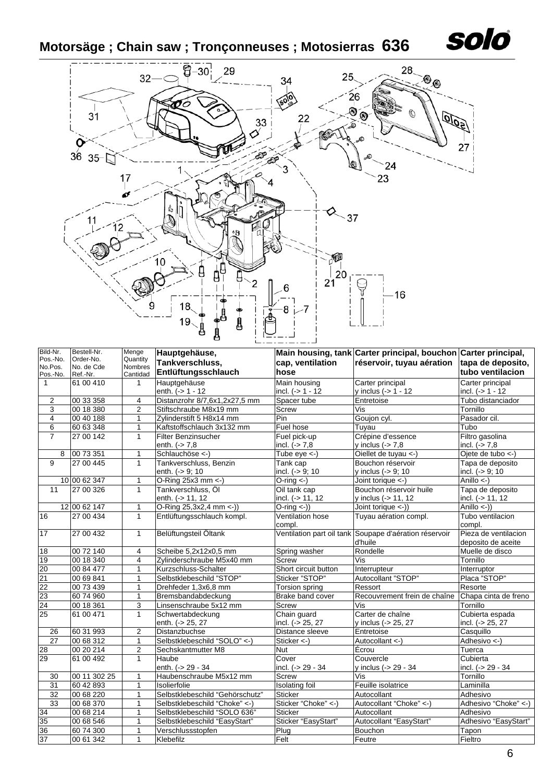# **Motorsäge ; Chain saw ; Tronçonneuses ; Motosierras 636**



| Bild-Nr.            |   | Bestell-Nr.             | Menge                      | Hauptgehäuse,                   |                       | Main housing, tank Carter principal, bouchon Carter principal, |                        |
|---------------------|---|-------------------------|----------------------------|---------------------------------|-----------------------|----------------------------------------------------------------|------------------------|
| Pos.-No.<br>No.Pos. |   | Order-No.<br>No. de Cde | Quantity<br><b>Nombres</b> | Tankverschluss,                 | cap, ventilation      | réservoir, tuyau aération                                      | tapa de deposito,      |
| Pos.-No.            |   | Ref.-Nr.                | Cantidad                   | Entlüftungsschlauch             | hose                  |                                                                | tubo ventilacion       |
| $\mathbf{1}$        |   | 61 00 410               | 1                          | Hauptgehäuse                    | Main housing          | Carter principal                                               | Carter principal       |
|                     |   |                         |                            | enth. (-> 1 - 12                | incl. $(-51 - 12)$    | y inclus (-> 1 - 12                                            | incl. $(-) 1 - 12$     |
| 2                   |   | 00 33 358               | 4                          | Distanzrohr 8/7,6x1,2x27,5 mm   | Spacer tube           | Entretoise                                                     | Tubo distanciador      |
| $\overline{3}$      |   | 00 18 380               | $\overline{2}$             | Stiftschraube M8x19 mm          | Screw                 | $\overline{\text{Vis}}$                                        | Tornillo               |
| 4                   |   | 00 40 188               | $\mathbf{1}$               | Zylinderstift 5 H8x14 mm        | Pin                   | Goujon cyl.                                                    | Pasador cil.           |
| 6                   |   | 60 63 348               | $\mathbf{1}$               | Kaftstoffschlauch 3x132 mm      | Fuel hose             | Tuyau                                                          | Tubo                   |
| $\overline{7}$      |   | 27 00 142               | $\mathbf{1}$               | <b>Filter Benzinsucher</b>      | Fuel pick-up          | Crépine d'essence                                              | Filtro gasolina        |
|                     |   |                         |                            | enth. $(-5.7, 8)$               | incl. $(-57, 8)$      | y inclus $(-5 7.8$                                             | incl. $($ > 7.8        |
|                     | 8 | 00 73 351               | $\mathbf{1}$               | Schlauchöse <- )                | Tube $eve < -1$       | Oiellet de tuyau <-)                                           | Ojete de tubo <-)      |
| 9                   |   | 27 00 445               | $\mathbf{1}$               | Tankverschluss, Benzin          | Tank cap              | Bouchon réservoir                                              | Tapa de deposito       |
|                     |   |                         |                            | enth. (-> 9; 10                 | incl. $(-59; 10$      | y inclus (-> 9; 10                                             | incl. $(-59; 10$       |
|                     |   | 10 00 62 347            | $\mathbf{1}$               | O-Ring 25x3 mm $\leftarrow$ )   | $O\text{-ring}$ <-)   | Joint torique <-)                                              | Anillo $\leftarrow$ )  |
| $\overline{11}$     |   | 27 00 326               | $\mathbf{1}$               | Tankverschluss, Öl              | Oil tank cap          | Bouchon réservoir huile                                        | Tapa de deposito       |
|                     |   |                         |                            | enth. (-> 11, 12                | incl. $(-) 11, 12$    | y inclus (-> 11, 12                                            | incl. (-> 11, 12       |
|                     |   | 12 00 62 147            | 1                          | O-Ring 25,3x2,4 mm <- ))        | $O\text{-ring}(-)$    | Joint torique <-))                                             | Anillo $\leftarrow$ )) |
| 16                  |   | 27 00 434               | $\mathbf{1}$               | Entlüftungsschlauch kompl.      | Ventilation hose      | Tuyau aération compl.                                          | Tubo ventilacion       |
|                     |   |                         |                            |                                 | compl.                |                                                                | compl.                 |
| 17                  |   | 27 00 432               | $\mathbf{1}$               | Belüftungsteil Öltank           |                       | Ventilation part oil tank Soupape d'aération réservoir         | Pieza de ventilacion   |
|                     |   |                         |                            |                                 |                       | d'huile                                                        | deposito de aceite     |
| 18                  |   | 00 72 140               | 4                          | Scheibe 5,2x12x0,5 mm           | Spring washer         | Rondelle                                                       | Muelle de disco        |
| 19                  |   | 00 18 340               | $\overline{4}$             | Zylinderschraube M5x40 mm       | <b>Screw</b>          | Vis                                                            | Tornillo               |
| 20                  |   | 00 84 477               | 1                          | Kurzschluss-Schalter            | Short circuit button  | Interrupteur                                                   | Interruptor            |
| 21                  |   | 00 69 841               | $\mathbf{1}$               | Selbstklebeschild "STOP"        | Sticker "STOP"        | Autocollant "STOP"                                             | Placa "STOP"           |
| 22                  |   | 00 73 439               | 1                          | Drehfeder 1,3x6,8 mm            | Torsion spring        | Ressort                                                        | Resorte                |
| 23                  |   | 60 74 960               | $\mathbf{1}$               | Bremsbandabdeckung              | Brake band cover      | Recouvrement frein de chaîne                                   | Chapa cinta de freno   |
| $\overline{24}$     |   | 00 18 361               | 3                          | Linsenschraube 5x12 mm          | <b>Screw</b>          | Vis                                                            | Tornillo               |
| 25                  |   | 61 00 471               | $\mathbf{1}$               | Schwertabdeckung                | Chain guard           | Carter de chaîne                                               | Cubierta espada        |
|                     |   |                         |                            | enth. (-> 25, 27                | incl. (-> 25, 27      | y inclus (-> 25, 27                                            | incl. (-> 25, 27       |
| 26                  |   | 60 31 993               | $\overline{2}$             | Distanzbuchse                   | Distance sleeve       | Entretoise                                                     | Casquillo              |
| $\overline{27}$     |   | 00 68 312               | $\mathbf{1}$               | Selbstklebeschild "SOLO" <- )   | Sticker <-)           | Autocollant <- )                                               | Adhesivo <-)           |
| 28                  |   | 00 20 214               | $\overline{2}$             | Sechskantmutter M8              | <b>Nut</b>            | Écrou                                                          | Tuerca                 |
| 29                  |   | 61 00 492               | $\mathbf{1}$               | Haube                           | Cover                 | Couvercle                                                      | Cubierta               |
|                     |   |                         |                            | enth. (-> 29 - 34               | incl. (-> 29 - 34     | y inclus (-> 29 - 34                                           | incl. (-> 29 - 34      |
| 30                  |   | 00 11 302 25            | $\mathbf{1}$               | Haubenschraube M5x12 mm         | <b>Screw</b>          | Vis                                                            | Tornillo               |
| 31                  |   | 60 42 893               | 1                          | Isolierfolie                    | <b>Isolating foil</b> | Feuille isolatrice                                             | Laminilla              |
| 32                  |   | 00 68 220               | $\mathbf{1}$               | Selbstklebeschild "Gehörschutz" | <b>Sticker</b>        | Autocollant                                                    | Adhesivo               |
| 33                  |   | 00 68 370               | $\mathbf{1}$               | Selbstklebeschild "Choke" <- )  | Sticker "Choke" <- )  | Autocollant "Choke" <-)                                        | Adhesivo "Choke" <-)   |
| 34                  |   | 00 68 214               | $\mathbf{1}$               | Selbstklebeschild "SOLO 636"    | <b>Sticker</b>        | Autocollant                                                    | Adhesivo               |
| 35                  |   | 00 68 546               | $\mathbf{1}$               | Selbstklebeschild "EasyStart"   | Sticker "EasyStart"   | Autocollant "EasyStart"                                        | Adhesivo "EasyStart"   |
| 36                  |   | 60 74 300               | $\mathbf{1}$               | Verschlussstopfen               | Plug                  | Bouchon                                                        | Tapon                  |
| 37                  |   | 00 61 342               | $\mathbf{1}$               | Klebefilz                       | Felt                  | Feutre                                                         | Fieltro                |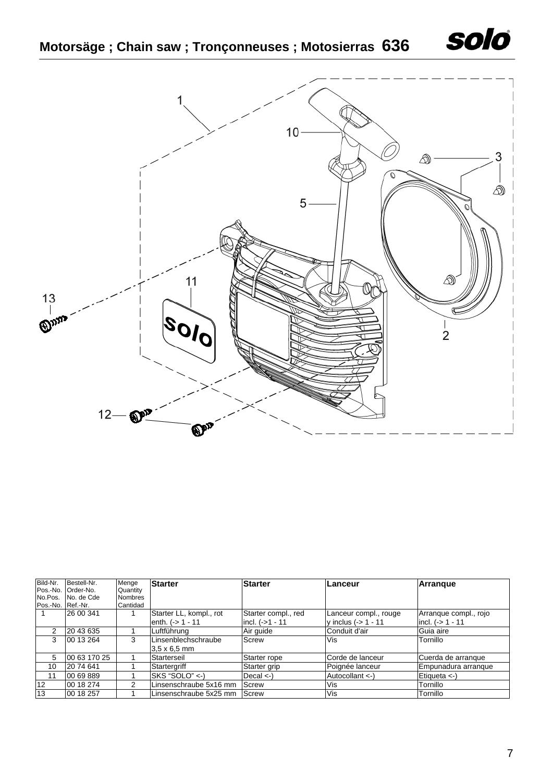



| Bild-Nr.          | Bestell-Nr.<br>Pos.-No. Order-No. | Menge<br>Quantity | <b>Starter</b>          | <b>Starter</b>                      | Lanceur               | Arranque              |  |
|-------------------|-----------------------------------|-------------------|-------------------------|-------------------------------------|-----------------------|-----------------------|--|
| No.Pos.           | No. de Cde                        | <b>Nombres</b>    |                         |                                     |                       |                       |  |
| Pos.-No. Ref.-Nr. |                                   | Cantidad          |                         |                                     |                       |                       |  |
|                   | 26 00 341                         |                   | Starter LL, kompl., rot | Starter compl., red                 | Lanceur compl., rouge | Arranque compl., rojo |  |
|                   |                                   |                   | enth. $(-) 1 - 11$      | incl. $(-51 - 11)$                  | y inclus $(-5 1 - 11$ | incl. $($ > 1 - 11    |  |
| 2                 | 20 43 635                         |                   | Luftführung             | Air quide                           | Conduit d'air         | Guia aire             |  |
| 3                 | 00 13 264                         | 3                 | Linsenblechschraube     | <b>Screw</b>                        | Vis                   | Tornillo              |  |
|                   |                                   |                   | $3.5 \times 6.5$ mm     |                                     |                       |                       |  |
| 5                 | 00 63 170 25                      |                   | Starterseil             | Starter rope                        | Corde de lanceur      | Cuerda de arranque    |  |
| 10                | 20 74 641                         |                   | Startergriff            | Starter grip                        | Poignée lanceur       | Empunadura arrangue   |  |
| 11                | 00 69 889                         |                   | $SKS "SOLO" < \cdot$    | Decal $\left\langle -\right\rangle$ | Autocollant <-)       | Etiqueta <-)          |  |
| 12                | 00 18 274                         | 2                 | Linsenschraube 5x16 mm  | Screw                               | Vis                   | Tornillo              |  |
| 13                | 00 18 257                         |                   | Linsenschraube 5x25 mm  | Screw                               | Vis                   | Tornillo              |  |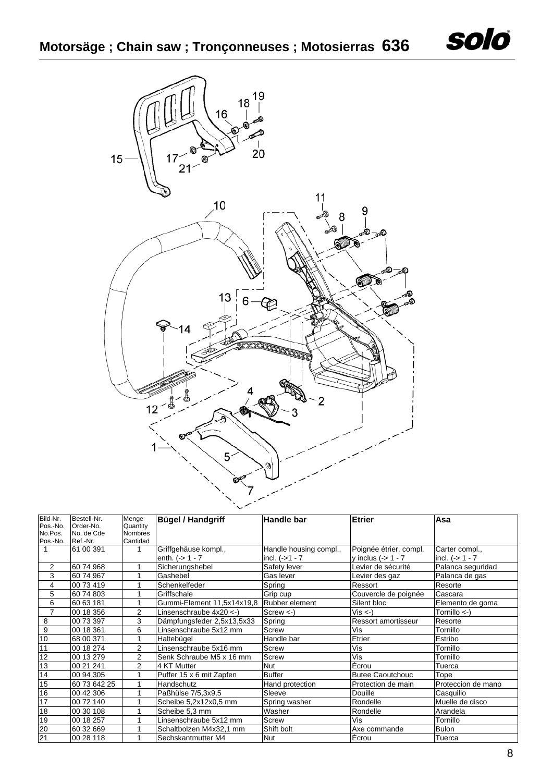

| Bild-Nr.       | Bestell-Nr.  | Menge          | <b>Bügel / Handgriff</b>    | <b>Handle bar</b>      | Etrier                  | Asa                     |
|----------------|--------------|----------------|-----------------------------|------------------------|-------------------------|-------------------------|
| Pos.-No.       | Order-No.    | Quantity       |                             |                        |                         |                         |
| No.Pos.        | No. de Cde   | <b>Nombres</b> |                             |                        |                         |                         |
| Pos.-No.       | Ref.-Nr.     | Cantidad       |                             |                        |                         |                         |
|                | 61 00 391    |                | Griffgehäuse kompl.,        | Handle housing compl., | Poignée étrier, compl.  | Carter compl.,          |
|                |              |                | enth. $(-) 1 - 7$           | incl. $(-51 - 7)$      | y inclus $(-) 1 - 7$    | incl. $(-51 - 7)$       |
| 2              | 60 74 968    | 1              | Sicherungshebel             | Safety lever           | Levier de sécurité      | Palanca seguridad       |
| 3              | 60 74 967    | 4              | Gashebel                    | Gas lever              | Levier des gaz          | Palanca de gas          |
| 4              | 00 73 419    | 1              | Schenkelfeder               | Spring                 | Ressort                 | Resorte                 |
| 5              | 60 74 803    |                | Griffschale                 | Grip cup               | Couvercle de poignée    | Cascara                 |
| 6              | 60 63 181    |                | Gummi-Element 11,5x14x19,8  | Rubber element         | Silent bloc             | Elemento de goma        |
| $\overline{7}$ | 00 18 356    | 2              | Linsenschraube $4x20 < -$ ) | $Screw < -$            | $Vis < -$               | Tornillo $\leftarrow$ ) |
| 8              | 00 73 397    | 3              | Dämpfungsfeder 2,5x13,5x33  | Spring                 | Ressort amortisseur     | Resorte                 |
| 9              | 00 18 361    | 6              | Linsenschraube 5x12 mm      | Screw                  | Vis                     | Tornillo                |
| 10             | 68 00 371    |                | Haltebügel                  | Handle bar             | Etrier                  | Estribo                 |
| 11             | 00 18 274    | $\overline{2}$ | Linsenschraube 5x16 mm      | <b>Screw</b>           | Vis                     | Tornillo                |
| 12             | 00 13 279    | 2              | Senk Schraube M5 x 16 mm    | <b>Screw</b>           | Vis                     | Tornillo                |
| 13             | 00 21 241    | 2              | 4 KT Mutter                 | <b>Nut</b>             | Écrou                   | Tuerca                  |
| 14             | 00 94 305    | 1              | Puffer 15 x 6 mit Zapfen    | <b>Buffer</b>          | <b>Butee Caoutchouc</b> | Tope                    |
| 15             | 60 73 642 25 | 1              | Handschutz                  | Hand protection        | Protection de main      | Proteccion de mano      |
| 16             | 00 42 306    |                | Paßhülse 7/5,3x9,5          | Sleeve                 | Douille                 | Casquillo               |
| 17             | 00 72 140    |                | Scheibe 5,2x12x0,5 mm       | Spring washer          | Rondelle                | Muelle de disco         |
| 18             | 00 30 108    |                | Scheibe 5,3 mm              | Washer                 | Rondelle                | Arandela                |
| 19             | 00 18 257    |                | Linsenschraube 5x12 mm      | Screw                  | Vis                     | Tornillo                |
| 20             | 60 32 669    |                | Schaltbolzen M4x32,1 mm     | Shift bolt             | Axe commande            | <b>Bulon</b>            |
| 21             | 00 28 118    |                | Sechskantmutter M4          | <b>Nut</b>             | Écrou                   | Tuerca                  |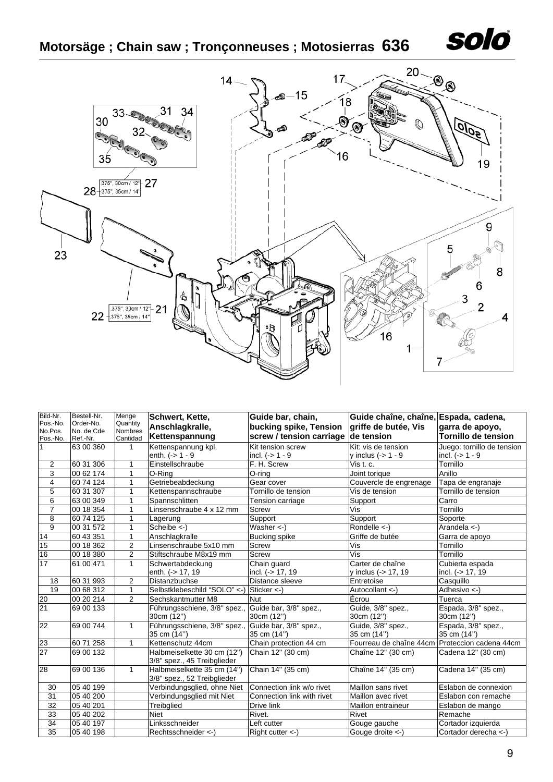

## **Motorsäge ; Chain saw ; Tronçonneuses ; Motosierras 636**



| Bild-Nr.        | Bestell-Nr.           | Menge          | Schwert, Kette,                                     | Guide bar, chain,          | Guide chaîne, chaîne, Espada, cadena,          |                            |
|-----------------|-----------------------|----------------|-----------------------------------------------------|----------------------------|------------------------------------------------|----------------------------|
| Pos.-No.        | Order-No.             | Quantity       | Anschlagkralle,                                     | bucking spike, Tension     | griffe de butée, Vis                           | garra de apoyo,            |
| No.Pos.         | No. de Cde            | Nombres        | Kettenspannung                                      | screw / tension carriage   | de tension                                     | <b>Tornillo de tension</b> |
| Pos.-No.        | Ref.-Nr.<br>63 00 360 | Cantidad<br>1  | Kettenspannung kpl.                                 | Kit tension screw          | Kit: vis de tension                            | Juego: tornillo de tension |
|                 |                       |                | enth. $(-) 1 - 9$                                   | incl. $(-51 - 9)$          | v inclus (-> 1 - 9                             | incl. $(-5)$ 1 - 9         |
| $\overline{c}$  | 60 31 306             |                | Einstellschraube                                    | F. H. Screw                | Vis t. c.                                      | Tornillo                   |
| 3               | 00 62 174             | 1              | O-Ring                                              | O-ring                     | Joint torique                                  | Anillo                     |
| $\overline{4}$  |                       |                | Getriebeabdeckung                                   | Gear cover                 |                                                |                            |
|                 | 60 74 124             |                |                                                     |                            | Couvercle de engrenage                         | Tapa de engranaje          |
| $\overline{5}$  | 60 31 307             | 1              | Kettenspannschraube                                 | Tornillo de tension        | Vis de tension                                 | Tornillo de tension        |
| $\overline{6}$  | 63 00 349             | 1              | Spannschlitten                                      | Tension carriage           | Support                                        | Carro                      |
| $\overline{7}$  | 00 18 354             | 1              | Linsenschraube 4 x 12 mm                            | <b>Screw</b>               | Vis                                            | Tornillo                   |
| $\overline{8}$  | 60 74 125             | 1              | Lagerung                                            | Support                    | Support                                        | Soporte                    |
| $\overline{9}$  | 00 31 572             | $\mathbf{1}$   | Scheibe $\lt$ -)                                    | Washer $\lt$ -)            | Rondelle <-)                                   | Arandela <-)               |
| $\overline{14}$ | 60 43 351             | $\mathbf{1}$   | Anschlagkralle                                      | <b>Bucking</b> spike       | Griffe de butée                                | Garra de apoyo             |
| 15              | 00 18 362             | 2              | Linsenschraube 5x10 mm                              | <b>Screw</b>               | Vis                                            | Tornillo                   |
| 16              | 00 18 380             | $\overline{2}$ | Stiftschraube M8x19 mm                              | <b>Screw</b>               | Vis                                            | Tornillo                   |
| $\overline{17}$ | 61 00 471             | 1              | Schwertabdeckung                                    | Chain guard                | Carter de chaîne                               | Cubierta espada            |
|                 |                       |                | enth. (-> 17, 19                                    | incl. (-> 17, 19           | y inclus (-> 17, 19                            | incl. (-> 17, 19           |
| 18              | 60 31 993             | $\overline{2}$ | Distanzbuchse                                       | Distance sleeve            | Entretoise                                     | Casquillo                  |
| $\overline{19}$ | 00 68 312             | $\mathbf{1}$   | Selbstklebeschild "SOLO" <- ) Sticker <- )          |                            | Autocollant <- )                               | Adhesivo <-)               |
| 20              | 00 20 214             | $\overline{2}$ | Sechskantmutter M8                                  | <b>Nut</b>                 | Écrou                                          | Tuerca                     |
| 21              | 69 00 133             |                | Führungsschiene, 3/8" spez., Guide bar, 3/8" spez., |                            | Guide, 3/8" spez.,                             | Espada, 3/8" spez.,        |
|                 |                       |                | 30cm (12")                                          | 30cm (12")                 | 30cm (12")                                     | 30cm (12")                 |
| 22              | 69 00 744             | $\mathbf{1}$   | Führungsschiene, 3/8" spez.,                        | Guide bar, 3/8" spez.,     | Guide, 3/8" spez.,                             | Espada, 3/8" spez.,        |
|                 |                       |                | 35 cm (14")                                         | 35 cm (14")                | 35 cm (14")                                    | 35 cm (14")                |
| 23              | 60 71 258             | $\mathbf{1}$   | Kettenschutz 44cm                                   | Chain protection 44 cm     | Fourreau de chaîne 44cm Proteccion cadena 44cm |                            |
| 27              | 69 00 132             |                | Halbmeiselkette 30 cm (12")                         | Chain 12" (30 cm)          | Chaîne 12" (30 cm)                             | Cadena 12" (30 cm)         |
|                 |                       |                | 3/8" spez., 45 Treibglieder                         |                            |                                                |                            |
| 28              | 69 00 136             | $\mathbf{1}$   | Halbmeiselkette 35 cm (14")                         | Chain 14" (35 cm)          | Chaîne 14" (35 cm)                             | Cadena 14" (35 cm)         |
|                 |                       |                | 3/8" spez., 52 Treibglieder                         |                            |                                                |                            |
| 30              | 05 40 199             |                | Verbindungsglied, ohne Niet                         | Connection link w/o rivet  | Maillon sans rivet                             | Eslabon de connexion       |
| 31              | 05 40 200             |                | Verbindungsglied mit Niet                           | Connection link with rivet | Maillon avec rivet                             | Eslabon con remache        |
| 32              | 05 40 201             |                | Treibglied                                          | Drive link                 | Maillon entraineur                             | Eslabon de mango           |
| 33              | 05 40 202             |                | <b>Niet</b>                                         | Rivet.                     | Rivet                                          | Remache                    |
| $\overline{34}$ | 05 40 197             |                | Linksschneider                                      | Left cutter                | Gouge gauche                                   | Cortador izquierda         |
| $\overline{35}$ | 05 40 198             |                | Rechtsschneider <-                                  | $Right$ cutter $\lt$ -)    | Gouge droite <-)                               | Cortador derecha <-)       |